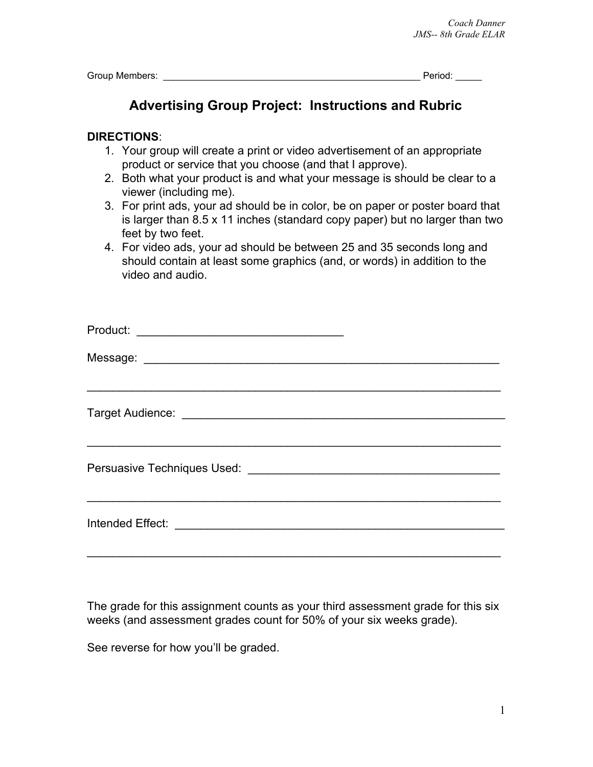Group Members: \_\_\_\_\_\_\_\_\_\_\_\_\_\_\_\_\_\_\_\_\_\_\_\_\_\_\_\_\_\_\_\_\_\_\_\_\_\_\_\_\_\_\_\_\_\_\_\_\_ Period: \_\_\_\_\_

## **Advertising Group Project: Instructions and Rubric**

## **DIRECTIONS**:

- 1. Your group will create a print or video advertisement of an appropriate product or service that you choose (and that I approve).
- 2. Both what your product is and what your message is should be clear to a viewer (including me).
- 3. For print ads, your ad should be in color, be on paper or poster board that is larger than 8.5 x 11 inches (standard copy paper) but no larger than two feet by two feet.
- 4. For video ads, your ad should be between 25 and 35 seconds long and should contain at least some graphics (and, or words) in addition to the video and audio.

| Product:         |
|------------------|
|                  |
|                  |
|                  |
| Intended Effect: |

The grade for this assignment counts as your third assessment grade for this six weeks (and assessment grades count for 50% of your six weeks grade).

See reverse for how you'll be graded.